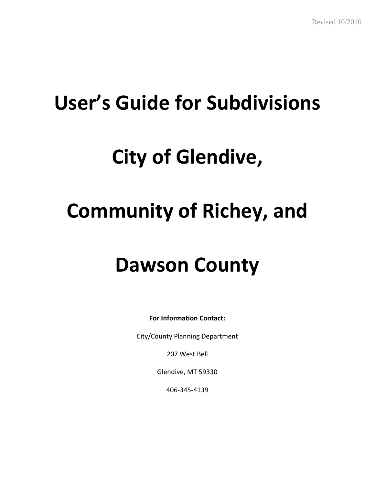# **User's Guide for Subdivisions**

## **City of Glendive,**

# **Community of Richey, and**

### **Dawson County**

**For Information Contact:**

City/County Planning Department

207 West Bell

Glendive, MT 59330

406-345-4139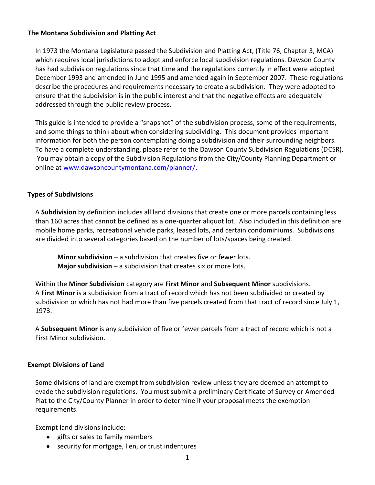#### **The Montana Subdivision and Platting Act**

In 1973 the Montana Legislature passed the Subdivision and Platting Act, (Title 76, Chapter 3, MCA) which requires local jurisdictions to adopt and enforce local subdivision regulations. Dawson County has had subdivision regulations since that time and the regulations currently in effect were adopted December 1993 and amended in June 1995 and amended again in September 2007. These regulations describe the procedures and requirements necessary to create a subdivision. They were adopted to ensure that the subdivision is in the public interest and that the negative effects are adequately addressed through the public review process.

This guide is intended to provide a "snapshot" of the subdivision process, some of the requirements, and some things to think about when considering subdividing. This document provides important information for both the person contemplating doing a subdivision and their surrounding neighbors. To have a complete understanding, please refer to the Dawson County Subdivision Regulations (DCSR). You may obtain a copy of the Subdivision Regulations from the City/County Planning Department or online at [www.dawsoncountymontana.com/planner/.](http://www.dawsoncountymontana.com/planner/)

#### **Types of Subdivisions**

A **Subdivision** by definition includes all land divisions that create one or more parcels containing less than 160 acres that cannot be defined as a one-quarter aliquot lot. Also included in this definition are mobile home parks, recreational vehicle parks, leased lots, and certain condominiums. Subdivisions are divided into several categories based on the number of lots/spaces being created.

**Minor subdivision** – a subdivision that creates five or fewer lots. **Major subdivision** – a subdivision that creates six or more lots.

Within the **Minor Subdivision** category are **First Minor** and **Subsequent Minor** subdivisions. A **First Minor** is a subdivision from a tract of record which has not been subdivided or created by subdivision or which has not had more than five parcels created from that tract of record since July 1, 1973.

A **Subsequent Minor** is any subdivision of five or fewer parcels from a tract of record which is not a First Minor subdivision.

#### **Exempt Divisions of Land**

Some divisions of land are exempt from subdivision review unless they are deemed an attempt to evade the subdivision regulations. You must submit a preliminary Certificate of Survey or Amended Plat to the City/County Planner in order to determine if your proposal meets the exemption requirements.

Exempt land divisions include:

- gifts or sales to family members
- security for mortgage, lien, or trust indentures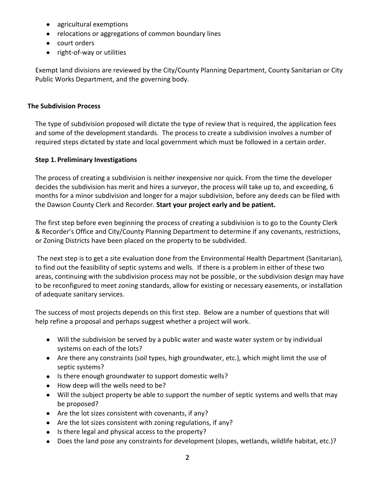- agricultural exemptions
- relocations or aggregations of common boundary lines
- court orders
- right-of-way or utilities

Exempt land divisions are reviewed by the City/County Planning Department, County Sanitarian or City Public Works Department, and the governing body.

#### **The Subdivision Process**

The type of subdivision proposed will dictate the type of review that is required, the application fees and some of the development standards. The process to create a subdivision involves a number of required steps dictated by state and local government which must be followed in a certain order.

#### **Step 1. Preliminary Investigations**

The process of creating a subdivision is neither inexpensive nor quick. From the time the developer decides the subdivision has merit and hires a surveyor, the process will take up to, and exceeding, 6 months for a minor subdivision and longer for a major subdivision, before any deeds can be filed with the Dawson County Clerk and Recorder. **Start your project early and be patient.**

The first step before even beginning the process of creating a subdivision is to go to the County Clerk & Recorder's Office and City/County Planning Department to determine if any covenants, restrictions, or Zoning Districts have been placed on the property to be subdivided.

The next step is to get a site evaluation done from the Environmental Health Department (Sanitarian), to find out the feasibility of septic systems and wells. If there is a problem in either of these two areas, continuing with the subdivision process may not be possible, or the subdivision design may have to be reconfigured to meet zoning standards, allow for existing or necessary easements, or installation of adequate sanitary services.

The success of most projects depends on this first step. Below are a number of questions that will help refine a proposal and perhaps suggest whether a project will work.

- Will the subdivision be served by a public water and waste water system or by individual systems on each of the lots?
- Are there any constraints (soil types, high groundwater, etc.), which might limit the use of septic systems?
- Is there enough groundwater to support domestic wells?
- How deep will the wells need to be?
- Will the subject property be able to support the number of septic systems and wells that may be proposed?
- Are the lot sizes consistent with covenants, if any?
- Are the lot sizes consistent with zoning regulations, if any?
- Is there legal and physical access to the property?
- Does the land pose any constraints for development (slopes, wetlands, wildlife habitat, etc.)?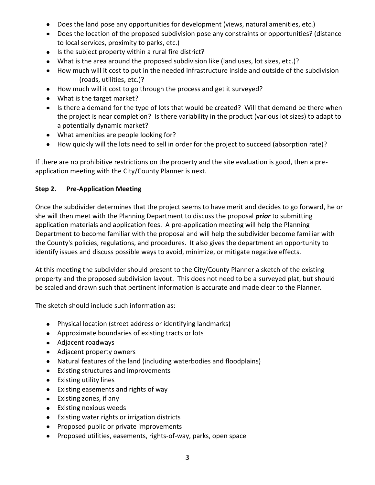- Does the land pose any opportunities for development (views, natural amenities, etc.)
- Does the location of the proposed subdivision pose any constraints or opportunities? (distance to local services, proximity to parks, etc.)
- Is the subject property within a rural fire district?
- What is the area around the proposed subdivision like (land uses, lot sizes, etc.)?
- How much will it cost to put in the needed infrastructure inside and outside of the subdivision (roads, utilities, etc.)?
- How much will it cost to go through the process and get it surveyed?
- What is the target market?
- Is there a demand for the type of lots that would be created? Will that demand be there when the project is near completion? Is there variability in the product (various lot sizes) to adapt to a potentially dynamic market?
- What amenities are people looking for?
- How quickly will the lots need to sell in order for the project to succeed (absorption rate)?

If there are no prohibitive restrictions on the property and the site evaluation is good, then a preapplication meeting with the City/County Planner is next.

#### **Step 2. Pre-Application Meeting**

Once the subdivider determines that the project seems to have merit and decides to go forward, he or she will then meet with the Planning Department to discuss the proposal *prior* to submitting application materials and application fees. A pre-application meeting will help the Planning Department to become familiar with the proposal and will help the subdivider become familiar with the County's policies, regulations, and procedures. It also gives the department an opportunity to identify issues and discuss possible ways to avoid, minimize, or mitigate negative effects.

At this meeting the subdivider should present to the City/County Planner a sketch of the existing property and the proposed subdivision layout. This does not need to be a surveyed plat, but should be scaled and drawn such that pertinent information is accurate and made clear to the Planner.

The sketch should include such information as:

- Physical location (street address or identifying landmarks)
- Approximate boundaries of existing tracts or lots
- Adjacent roadways
- Adjacent property owners
- Natural features of the land (including waterbodies and floodplains)
- Existing structures and improvements
- Existing utility lines
- Existing easements and rights of way
- Existing zones, if any
- Existing noxious weeds
- Existing water rights or irrigation districts
- Proposed public or private improvements
- Proposed utilities, easements, rights-of-way, parks, open space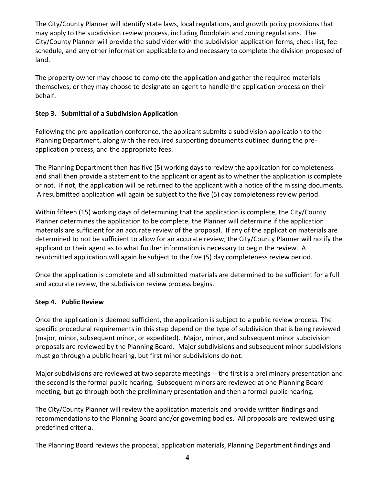The City/County Planner will identify state laws, local regulations, and growth policy provisions that may apply to the subdivision review process, including floodplain and zoning regulations. The City/County Planner will provide the subdivider with the subdivision application forms, check list, fee schedule, and any other information applicable to and necessary to complete the division proposed of land.

The property owner may choose to complete the application and gather the required materials themselves, or they may choose to designate an agent to handle the application process on their behalf.

#### **Step 3. Submittal of a Subdivision Application**

Following the pre-application conference, the applicant submits a subdivision application to the Planning Department, along with the required supporting documents outlined during the preapplication process, and the appropriate fees.

The Planning Department then has five (5) working days to review the application for completeness and shall then provide a statement to the applicant or agent as to whether the application is complete or not. If not, the application will be returned to the applicant with a notice of the missing documents. A resubmitted application will again be subject to the five (5) day completeness review period.

Within fifteen (15) working days of determining that the application is complete, the City/County Planner determines the application to be complete, the Planner will determine if the application materials are sufficient for an accurate review of the proposal. If any of the application materials are determined to not be sufficient to allow for an accurate review, the City/County Planner will notify the applicant or their agent as to what further information is necessary to begin the review. A resubmitted application will again be subject to the five (5) day completeness review period.

Once the application is complete and all submitted materials are determined to be sufficient for a full and accurate review, the subdivision review process begins.

#### **Step 4. Public Review**

Once the application is deemed sufficient, the application is subject to a public review process. The specific procedural requirements in this step depend on the type of subdivision that is being reviewed (major, minor, subsequent minor, or expedited). Major, minor, and subsequent minor subdivision proposals are reviewed by the Planning Board. Major subdivisions and subsequent minor subdivisions must go through a public hearing, but first minor subdivisions do not.

Major subdivisions are reviewed at two separate meetings -- the first is a preliminary presentation and the second is the formal public hearing. Subsequent minors are reviewed at one Planning Board meeting, but go through both the preliminary presentation and then a formal public hearing.

The City/County Planner will review the application materials and provide written findings and recommendations to the Planning Board and/or governing bodies. All proposals are reviewed using predefined criteria.

The Planning Board reviews the proposal, application materials, Planning Department findings and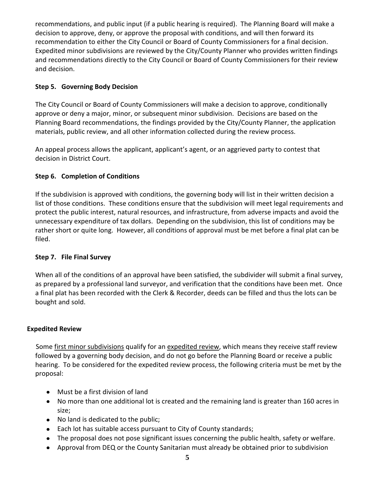recommendations, and public input (if a public hearing is required). The Planning Board will make a decision to approve, deny, or approve the proposal with conditions, and will then forward its recommendation to either the City Council or Board of County Commissioners for a final decision. Expedited minor subdivisions are reviewed by the City/County Planner who provides written findings and recommendations directly to the City Council or Board of County Commissioners for their review and decision.

#### **Step 5. Governing Body Decision**

The City Council or Board of County Commissioners will make a decision to approve, conditionally approve or deny a major, minor, or subsequent minor subdivision. Decisions are based on the Planning Board recommendations, the findings provided by the City/County Planner, the application materials, public review, and all other information collected during the review process.

An appeal process allows the applicant, applicant's agent, or an aggrieved party to contest that decision in District Court.

#### **Step 6. Completion of Conditions**

If the subdivision is approved with conditions, the governing body will list in their written decision a list of those conditions. These conditions ensure that the subdivision will meet legal requirements and protect the public interest, natural resources, and infrastructure, from adverse impacts and avoid the unnecessary expenditure of tax dollars. Depending on the subdivision, this list of conditions may be rather short or quite long. However, all conditions of approval must be met before a final plat can be filed.

#### **Step 7. File Final Survey**

When all of the conditions of an approval have been satisfied, the subdivider will submit a final survey, as prepared by a professional land surveyor, and verification that the conditions have been met. Once a final plat has been recorded with the Clerk & Recorder, deeds can be filled and thus the lots can be bought and sold.

#### **Expedited Review**

Some first minor subdivisions qualify for an expedited review, which means they receive staff review followed by a governing body decision, and do not go before the Planning Board or receive a public hearing. To be considered for the expedited review process, the following criteria must be met by the proposal:

- Must be a first division of land
- No more than one additional lot is created and the remaining land is greater than 160 acres in size;
- No land is dedicated to the public;
- Each lot has suitable access pursuant to City of County standards;
- The proposal does not pose significant issues concerning the public health, safety or welfare.
- Approval from DEQ or the County Sanitarian must already be obtained prior to subdivision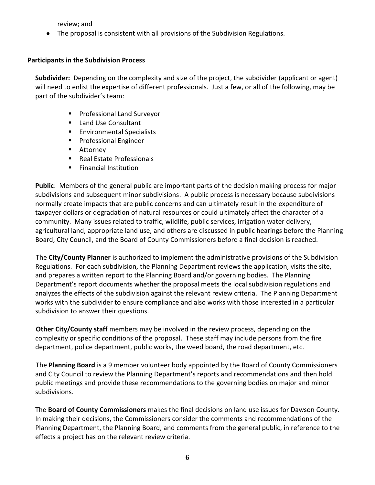review; and

The proposal is consistent with all provisions of the Subdivision Regulations.

#### **Participants in the Subdivision Process**

**Subdivider:** Depending on the complexity and size of the project, the subdivider (applicant or agent) will need to enlist the expertise of different professionals. Just a few, or all of the following, may be part of the subdivider's team:

- **Professional Land Surveyor**
- Land Use Consultant
- **Environmental Specialists**
- **Professional Engineer**
- **Attorney**
- Real Estate Professionals
- **Financial Institution**

**Public**: Members of the general public are important parts of the decision making process for major subdivisions and subsequent minor subdivisions. A public process is necessary because subdivisions normally create impacts that are public concerns and can ultimately result in the expenditure of taxpayer dollars or degradation of natural resources or could ultimately affect the character of a community. Many issues related to traffic, wildlife, public services, irrigation water delivery, agricultural land, appropriate land use, and others are discussed in public hearings before the Planning Board, City Council, and the Board of County Commissioners before a final decision is reached.

The **City/County Planner** is authorized to implement the administrative provisions of the Subdivision Regulations. For each subdivision, the Planning Department reviews the application, visits the site, and prepares a written report to the Planning Board and/or governing bodies. The Planning Department's report documents whether the proposal meets the local subdivision regulations and analyzes the effects of the subdivision against the relevant review criteria. The Planning Department works with the subdivider to ensure compliance and also works with those interested in a particular subdivision to answer their questions.

**Other City/County staff** members may be involved in the review process, depending on the complexity or specific conditions of the proposal. These staff may include persons from the fire department, police department, public works, the weed board, the road department, etc.

The **Planning Board** is a 9 member volunteer body appointed by the Board of County Commissioners and City Council to review the Planning Department's reports and recommendations and then hold public meetings and provide these recommendations to the governing bodies on major and minor subdivisions.

The **Board of County Commissioners** makes the final decisions on land use issues for Dawson County. In making their decisions, the Commissioners consider the comments and recommendations of the Planning Department, the Planning Board, and comments from the general public, in reference to the effects a project has on the relevant review criteria.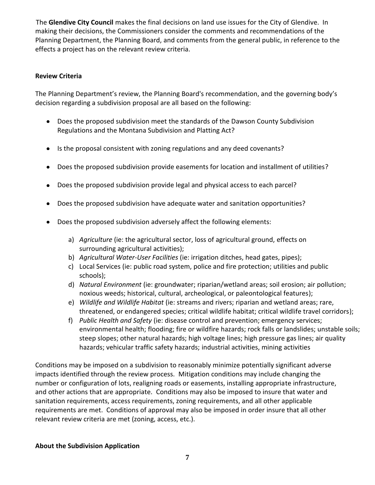The **Glendive City Council** makes the final decisions on land use issues for the City of Glendive. In making their decisions, the Commissioners consider the comments and recommendations of the Planning Department, the Planning Board, and comments from the general public, in reference to the effects a project has on the relevant review criteria.

#### **Review Criteria**

The Planning Department's review, the Planning Board's recommendation, and the governing body's decision regarding a subdivision proposal are all based on the following:

- Does the proposed subdivision meet the standards of the Dawson County Subdivision Regulations and the Montana Subdivision and Platting Act?
- Is the proposal consistent with zoning regulations and any deed covenants?
- Does the proposed subdivision provide easements for location and installment of utilities?
- Does the proposed subdivision provide legal and physical access to each parcel?  $\bullet$
- Does the proposed subdivision have adequate water and sanitation opportunities?
- Does the proposed subdivision adversely affect the following elements:
	- a) *Agriculture* (ie: the agricultural sector, loss of agricultural ground, effects on surrounding agricultural activities);
	- b) *Agricultural Water-User Facilities* (ie: irrigation ditches, head gates, pipes);
	- c) Local Services (ie: public road system, police and fire protection; utilities and public schools);
	- d) *Natural Environment* (ie: groundwater; riparian/wetland areas; soil erosion; air pollution; noxious weeds; historical, cultural, archeological, or paleontological features);
	- e) *Wildlife and Wildlife Habitat* (ie: streams and rivers; riparian and wetland areas; rare, threatened, or endangered species; critical wildlife habitat; critical wildlife travel corridors);
	- f) *Public Health and Safety* (ie: disease control and prevention; emergency services; environmental health; flooding; fire or wildfire hazards; rock falls or landslides; unstable soils; steep slopes; other natural hazards; high voltage lines; high pressure gas lines; air quality hazards; vehicular traffic safety hazards; industrial activities, mining activities

Conditions may be imposed on a subdivision to reasonably minimize potentially significant adverse impacts identified through the review process. Mitigation conditions may include changing the number or configuration of lots, realigning roads or easements, installing appropriate infrastructure, and other actions that are appropriate. Conditions may also be imposed to insure that water and sanitation requirements, access requirements, zoning requirements, and all other applicable requirements are met. Conditions of approval may also be imposed in order insure that all other relevant review criteria are met (zoning, access, etc.).

#### **About the Subdivision Application**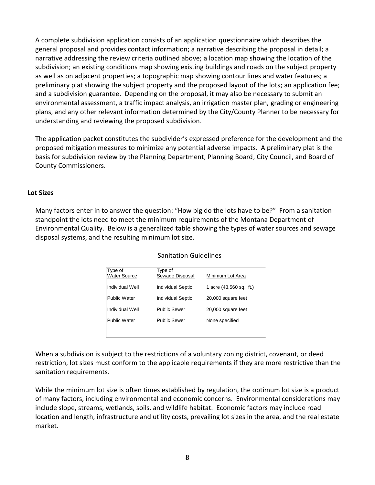A complete subdivision application consists of an application questionnaire which describes the general proposal and provides contact information; a narrative describing the proposal in detail; a narrative addressing the review criteria outlined above; a location map showing the location of the subdivision; an existing conditions map showing existing buildings and roads on the subject property as well as on adjacent properties; a topographic map showing contour lines and water features; a preliminary plat showing the subject property and the proposed layout of the lots; an application fee; and a subdivision guarantee. Depending on the proposal, it may also be necessary to submit an environmental assessment, a traffic impact analysis, an irrigation master plan, grading or engineering plans, and any other relevant information determined by the City/County Planner to be necessary for understanding and reviewing the proposed subdivision.

The application packet constitutes the subdivider's expressed preference for the development and the proposed mitigation measures to minimize any potential adverse impacts. A preliminary plat is the basis for subdivision review by the Planning Department, Planning Board, City Council, and Board of County Commissioners.

#### **Lot Sizes**

Many factors enter in to answer the question: "How big do the lots have to be?" From a sanitation standpoint the lots need to meet the minimum requirements of the Montana Department of Environmental Quality. Below is a generalized table showing the types of water sources and sewage disposal systems, and the resulting minimum lot size.

| Type of<br><b>Water Source</b> | Type of<br>Sewage Disposal | Minimum Lot Area        |
|--------------------------------|----------------------------|-------------------------|
| Individual Well                | <b>Individual Septic</b>   | 1 acre (43,560 sq. ft.) |
| <b>Public Water</b>            | <b>Individual Septic</b>   | 20,000 square feet      |
| Individual Well                | <b>Public Sewer</b>        | 20,000 square feet      |
| <b>Public Water</b>            | <b>Public Sewer</b>        | None specified          |
|                                |                            |                         |

Sanitation Guidelines

When a subdivision is subject to the restrictions of a voluntary zoning district, covenant, or deed restriction, lot sizes must conform to the applicable requirements if they are more restrictive than the sanitation requirements.

While the minimum lot size is often times established by regulation, the optimum lot size is a product of many factors, including environmental and economic concerns. Environmental considerations may include slope, streams, wetlands, soils, and wildlife habitat. Economic factors may include road location and length, infrastructure and utility costs, prevailing lot sizes in the area, and the real estate market.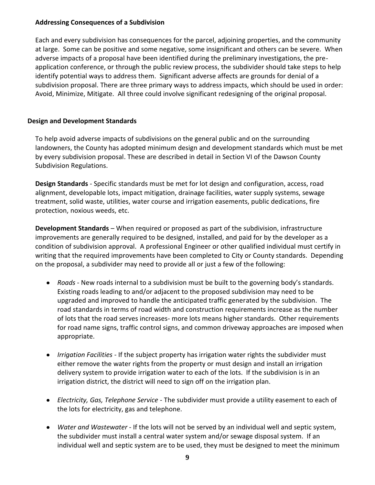#### **Addressing Consequences of a Subdivision**

Each and every subdivision has consequences for the parcel, adjoining properties, and the community at large. Some can be positive and some negative, some insignificant and others can be severe. When adverse impacts of a proposal have been identified during the preliminary investigations, the preapplication conference, or through the public review process, the subdivider should take steps to help identify potential ways to address them. Significant adverse affects are grounds for denial of a subdivision proposal. There are three primary ways to address impacts, which should be used in order: Avoid, Minimize, Mitigate. All three could involve significant redesigning of the original proposal.

#### **Design and Development Standards**

To help avoid adverse impacts of subdivisions on the general public and on the surrounding landowners, the County has adopted minimum design and development standards which must be met by every subdivision proposal. These are described in detail in Section VI of the Dawson County Subdivision Regulations.

**Design Standards** - Specific standards must be met for lot design and configuration, access, road alignment, developable lots, impact mitigation, drainage facilities, water supply systems, sewage treatment, solid waste, utilities, water course and irrigation easements, public dedications, fire protection, noxious weeds, etc.

**Development Standards** – When required or proposed as part of the subdivision, infrastructure improvements are generally required to be designed, installed, and paid for by the developer as a condition of subdivision approval. A professional Engineer or other qualified individual must certify in writing that the required improvements have been completed to City or County standards. Depending on the proposal, a subdivider may need to provide all or just a few of the following:

- *Roads*  New roads internal to a subdivision must be built to the governing body's standards. Existing roads leading to and/or adjacent to the proposed subdivision may need to be upgraded and improved to handle the anticipated traffic generated by the subdivision. The road standards in terms of road width and construction requirements increase as the number of lots that the road serves increases- more lots means higher standards. Other requirements for road name signs, traffic control signs, and common driveway approaches are imposed when appropriate.
- *Irrigation Facilities* If the subject property has irrigation water rights the subdivider must either remove the water rights from the property or must design and install an irrigation delivery system to provide irrigation water to each of the lots. If the subdivision is in an irrigation district, the district will need to sign off on the irrigation plan.
- *Electricity, Gas, Telephone Service* The subdivider must provide a utility easement to each of the lots for electricity, gas and telephone.
- *Water and Wastewater* If the lots will not be served by an individual well and septic system, the subdivider must install a central water system and/or sewage disposal system. If an individual well and septic system are to be used, they must be designed to meet the minimum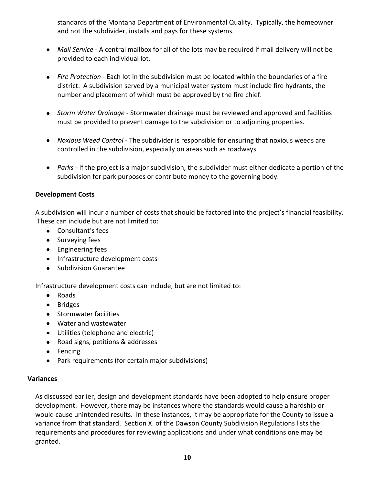standards of the Montana Department of Environmental Quality. Typically, the homeowner and not the subdivider, installs and pays for these systems.

- *Mail Service* A central mailbox for all of the lots may be required if mail delivery will not be provided to each individual lot.
- *Fire Protection* Each lot in the subdivision must be located within the boundaries of a fire district. A subdivision served by a municipal water system must include fire hydrants, the number and placement of which must be approved by the fire chief.
- *Storm Water Drainage* Stormwater drainage must be reviewed and approved and facilities must be provided to prevent damage to the subdivision or to adjoining properties.
- *Noxious Weed Control* The subdivider is responsible for ensuring that noxious weeds are controlled in the subdivision, especially on areas such as roadways.
- *Parks* If the project is a major subdivision, the subdivider must either dedicate a portion of the subdivision for park purposes or contribute money to the governing body.

#### **Development Costs**

A subdivision will incur a number of costs that should be factored into the project's financial feasibility. These can include but are not limited to:

- Consultant's fees
- Surveying fees
- **•** Engineering fees
- Infrastructure development costs
- Subdivision Guarantee

Infrastructure development costs can include, but are not limited to:

- Roads
- Bridges
- **•** Stormwater facilities
- Water and wastewater
- Utilities (telephone and electric)
- Road signs, petitions & addresses
- Fencing
- Park requirements (for certain major subdivisions)

#### **Variances**

As discussed earlier, design and development standards have been adopted to help ensure proper development. However, there may be instances where the standards would cause a hardship or would cause unintended results. In these instances, it may be appropriate for the County to issue a variance from that standard. Section X. of the Dawson County Subdivision Regulations lists the requirements and procedures for reviewing applications and under what conditions one may be granted.